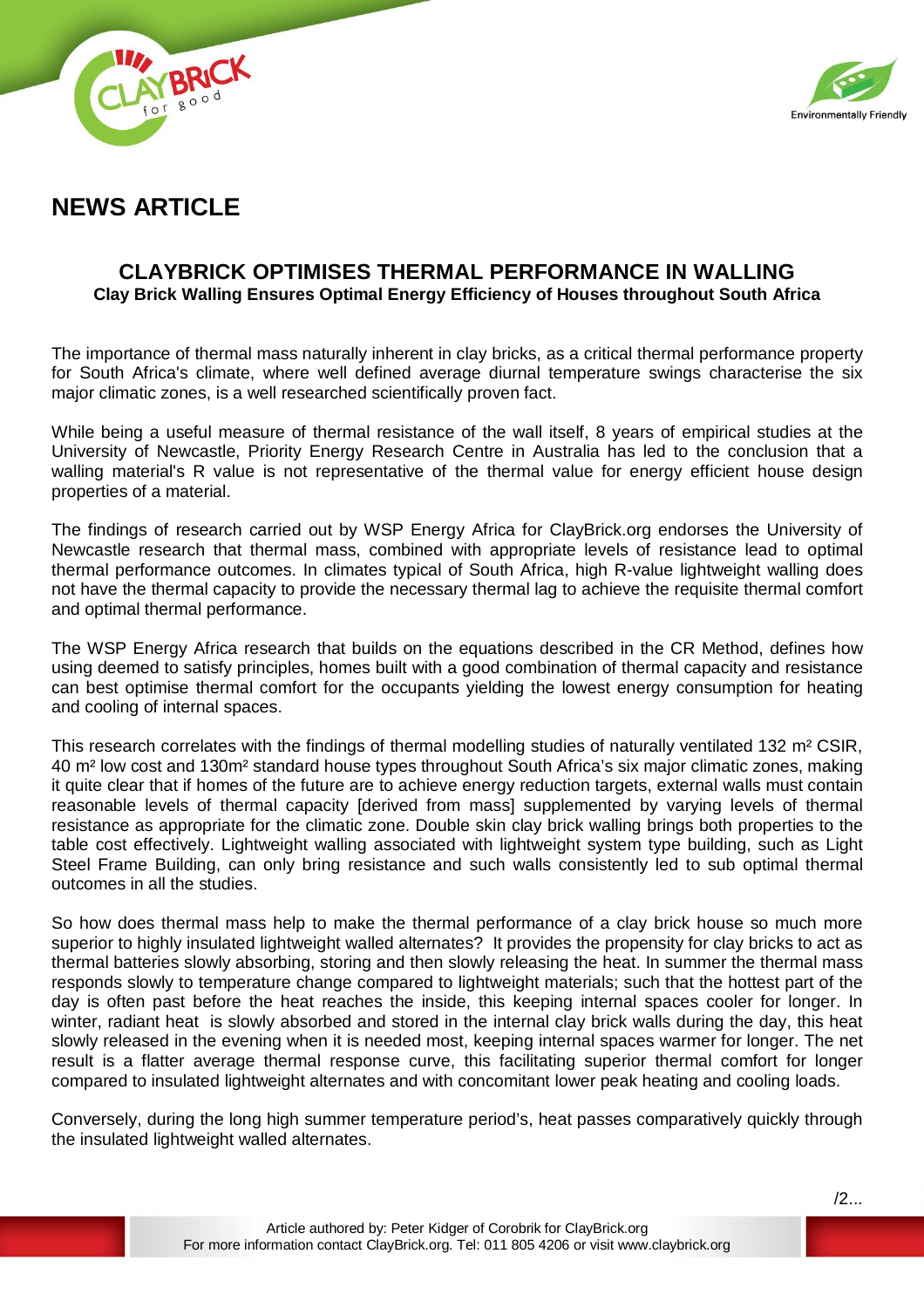

**NEWS ARTICLE**

## **CLAYBRICK OPTIMISES THERMAL PERFORMANCE IN WALLING Clay Brick Walling Ensures Optimal Energy Efficiency of Houses throughout South Africa**

The importance of thermal mass naturally inherent in clay bricks, as a critical thermal performance property for South Africa's climate, where well defined average diurnal temperature swings characterise the six major climatic zones, is a well researched scientifically proven fact.

While being a useful measure of thermal resistance of the wall itself, 8 years of empirical studies at the University of Newcastle, Priority Energy Research Centre in Australia has led to the conclusion that a walling material's R value is not representative of the thermal value for energy efficient house design properties of a material.

The findings of research carried out by WSP Energy Africa for ClayBrick.org endorses the University of Newcastle research that thermal mass, combined with appropriate levels of resistance lead to optimal thermal performance outcomes. In climates typical of South Africa, high R-value lightweight walling does not have the thermal capacity to provide the necessary thermal lag to achieve the requisite thermal comfort and optimal thermal performance.

The WSP Energy Africa research that builds on the equations described in the CR Method, defines how using deemed to satisfy principles, homes built with a good combination of thermal capacity and resistance can best optimise thermal comfort for the occupants yielding the lowest energy consumption for heating and cooling of internal spaces.

This research correlates with the findings of thermal modelling studies of naturally ventilated 132 m² CSIR, 40 m² low cost and 130m² standard house types throughout South Africa's six major climatic zones, making it quite clear that if homes of the future are to achieve energy reduction targets, external walls must contain reasonable levels of thermal capacity [derived from mass] supplemented by varying levels of thermal resistance as appropriate for the climatic zone. Double skin clay brick walling brings both properties to the table cost effectively. Lightweight walling associated with lightweight system type building, such as Light Steel Frame Building, can only bring resistance and such walls consistently led to sub optimal thermal outcomes in all the studies.

So how does thermal mass help to make the thermal performance of a clay brick house so much more superior to highly insulated lightweight walled alternates? It provides the propensity for clay bricks to act as thermal batteries slowly absorbing, storing and then slowly releasing the heat. In summer the thermal mass responds slowly to temperature change compared to lightweight materials; such that the hottest part of the day is often past before the heat reaches the inside, this keeping internal spaces cooler for longer. In winter, radiant heat is slowly absorbed and stored in the internal clay brick walls during the day, this heat slowly released in the evening when it is needed most, keeping internal spaces warmer for longer. The net result is a flatter average thermal response curve, this facilitating superior thermal comfort for longer compared to insulated lightweight alternates and with concomitant lower peak heating and cooling loads.

Conversely, during the long high summer temperature period's, heat passes comparatively quickly through the insulated lightweight walled alternates.